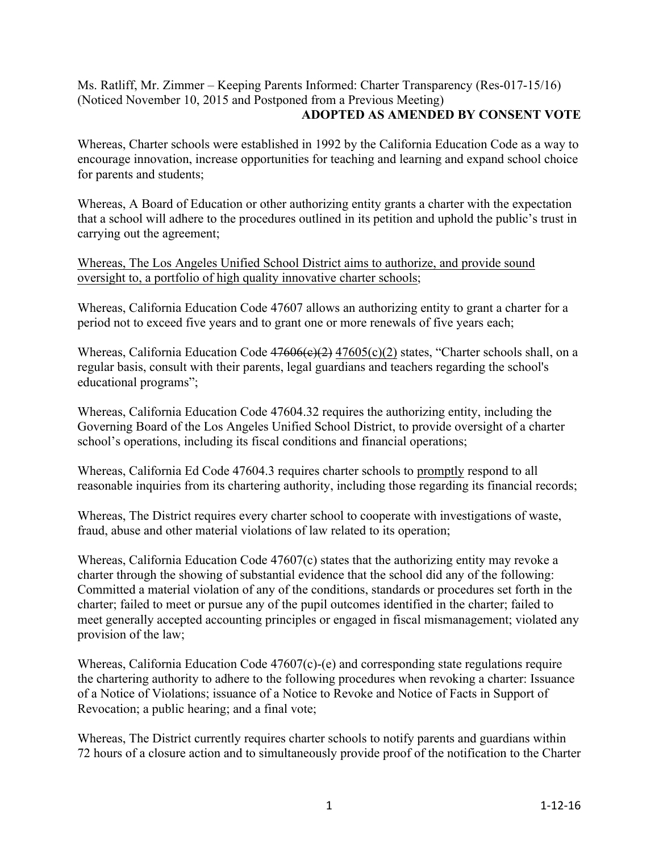## Ms. Ratliff, Mr. Zimmer – Keeping Parents Informed: Charter Transparency (Res-017-15/16) (Noticed November 10, 2015 and Postponed from a Previous Meeting) **ADOPTED AS AMENDED BY CONSENT VOTE**

Whereas, Charter schools were established in 1992 by the California Education Code as a way to encourage innovation, increase opportunities for teaching and learning and expand school choice for parents and students;

Whereas, A Board of Education or other authorizing entity grants a charter with the expectation that a school will adhere to the procedures outlined in its petition and uphold the public's trust in carrying out the agreement;

Whereas, The Los Angeles Unified School District aims to authorize, and provide sound oversight to, a portfolio of high quality innovative charter schools;

Whereas, California Education Code 47607 allows an authorizing entity to grant a charter for a period not to exceed five years and to grant one or more renewals of five years each;

Whereas, California Education Code  $47606(e)(2)$  47605(c)(2) states, "Charter schools shall, on a regular basis, consult with their parents, legal guardians and teachers regarding the school's educational programs";

Whereas, California Education Code 47604.32 requires the authorizing entity, including the Governing Board of the Los Angeles Unified School District, to provide oversight of a charter school's operations, including its fiscal conditions and financial operations;

Whereas, California Ed Code 47604.3 requires charter schools to promptly respond to all reasonable inquiries from its chartering authority, including those regarding its financial records;

Whereas, The District requires every charter school to cooperate with investigations of waste, fraud, abuse and other material violations of law related to its operation;

Whereas, California Education Code 47607(c) states that the authorizing entity may revoke a charter through the showing of substantial evidence that the school did any of the following: Committed a material violation of any of the conditions, standards or procedures set forth in the charter; failed to meet or pursue any of the pupil outcomes identified in the charter; failed to meet generally accepted accounting principles or engaged in fiscal mismanagement; violated any provision of the law;

Whereas, California Education Code 47607(c)-(e) and corresponding state regulations require the chartering authority to adhere to the following procedures when revoking a charter: Issuance of a Notice of Violations; issuance of a Notice to Revoke and Notice of Facts in Support of Revocation; a public hearing; and a final vote;

Whereas, The District currently requires charter schools to notify parents and guardians within 72 hours of a closure action and to simultaneously provide proof of the notification to the Charter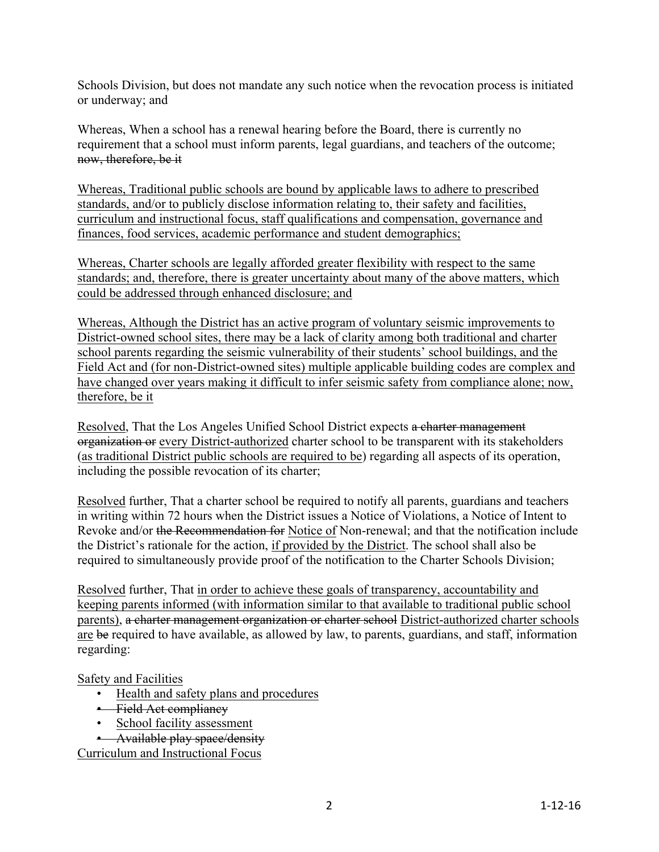Schools Division, but does not mandate any such notice when the revocation process is initiated or underway; and

Whereas, When a school has a renewal hearing before the Board, there is currently no requirement that a school must inform parents, legal guardians, and teachers of the outcome; now, therefore, be it

Whereas, Traditional public schools are bound by applicable laws to adhere to prescribed standards, and/or to publicly disclose information relating to, their safety and facilities, curriculum and instructional focus, staff qualifications and compensation, governance and finances, food services, academic performance and student demographics;

Whereas, Charter schools are legally afforded greater flexibility with respect to the same standards; and, therefore, there is greater uncertainty about many of the above matters, which could be addressed through enhanced disclosure; and

Whereas, Although the District has an active program of voluntary seismic improvements to District-owned school sites, there may be a lack of clarity among both traditional and charter school parents regarding the seismic vulnerability of their students' school buildings, and the Field Act and (for non-District-owned sites) multiple applicable building codes are complex and have changed over years making it difficult to infer seismic safety from compliance alone; now, therefore, be it

Resolved, That the Los Angeles Unified School District expects a charter management organization or every District-authorized charter school to be transparent with its stakeholders (as traditional District public schools are required to be) regarding all aspects of its operation, including the possible revocation of its charter;

Resolved further, That a charter school be required to notify all parents, guardians and teachers in writing within 72 hours when the District issues a Notice of Violations, a Notice of Intent to Revoke and/or the Recommendation for Notice of Non-renewal; and that the notification include the District's rationale for the action, if provided by the District. The school shall also be required to simultaneously provide proof of the notification to the Charter Schools Division;

Resolved further, That in order to achieve these goals of transparency, accountability and keeping parents informed (with information similar to that available to traditional public school parents), a charter management organization or charter school District-authorized charter schools are be required to have available, as allowed by law, to parents, guardians, and staff, information regarding:

Safety and Facilities

- Health and safety plans and procedures
- Field Act compliancy
- School facility assessment
- Available play space/density

Curriculum and Instructional Focus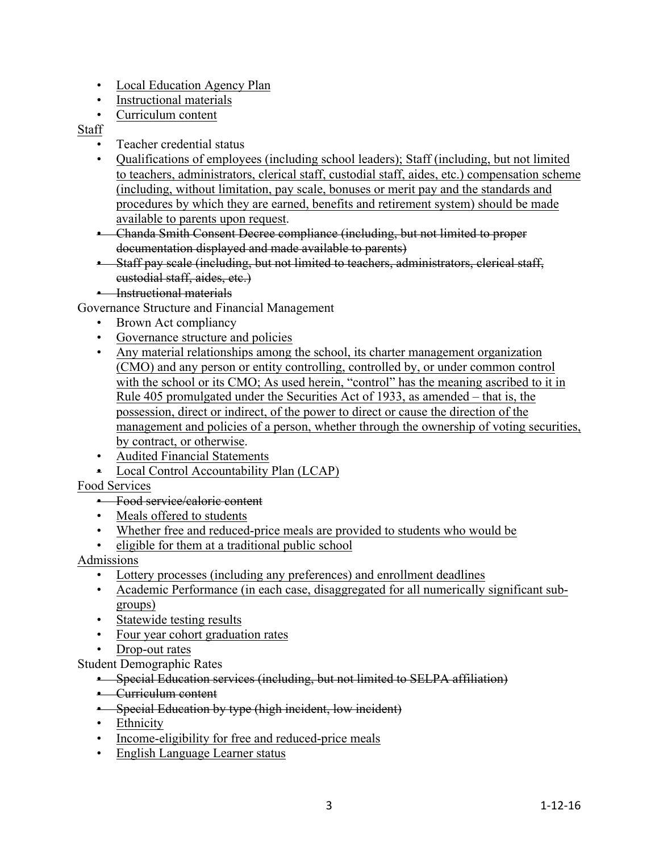- Local Education Agency Plan
- Instructional materials
- Curriculum content

## Staff

- Teacher credential status
- Qualifications of employees (including school leaders); Staff (including, but not limited to teachers, administrators, clerical staff, custodial staff, aides, etc.) compensation scheme (including, without limitation, pay scale, bonuses or merit pay and the standards and procedures by which they are earned, benefits and retirement system) should be made available to parents upon request.

• Chanda Smith Consent Decree compliance (including, but not limited to proper documentation displayed and made available to parents)

- Staff pay scale (including, but not limited to teachers, administrators, clerical staff, custodial staff, aides, etc.)
- Instructional materials

Governance Structure and Financial Management

- Brown Act compliancy
- Governance structure and policies
- Any material relationships among the school, its charter management organization (CMO) and any person or entity controlling, controlled by, or under common control with the school or its CMO; As used herein, "control" has the meaning ascribed to it in Rule 405 promulgated under the Securities Act of 1933, as amended – that is, the possession, direct or indirect, of the power to direct or cause the direction of the management and policies of a person, whether through the ownership of voting securities, by contract, or otherwise.
- Audited Financial Statements
- Local Control Accountability Plan (LCAP)

## Food Services

• Food service/caloric content

- Meals offered to students
- Whether free and reduced-price meals are provided to students who would be
- eligible for them at a traditional public school

## Admissions

- Lottery processes (including any preferences) and enrollment deadlines
- Academic Performance (in each case, disaggregated for all numerically significant subgroups)
- Statewide testing results
- Four year cohort graduation rates
- Drop-out rates

Student Demographic Rates

- Special Education services (including, but not limited to SELPA affiliation)
- Curriculum content
- Special Education by type (high incident, low incident)
- Ethnicity
- Income-eligibility for free and reduced-price meals
- English Language Learner status